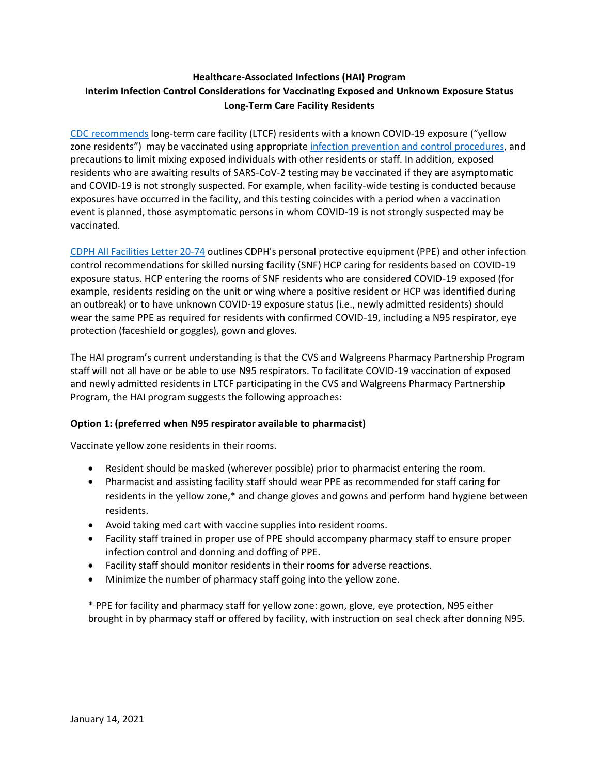## **Healthcare-Associated Infections (HAI) Program Interim Infection Control Considerations for Vaccinating Exposed and Unknown Exposure Status Long-Term Care Facility Residents**

[CDC recommends](https://www.cdc.gov/vaccines/covid-19/info-by-product/clinical-considerations.html) long-term care facility (LTCF) residents with a known COVID-19 exposure ("yellow zone residents") may be vaccinated using appropriate [infection prevention and control procedures,](https://www.cdc.gov/coronavirus/2019-ncov/hcp/infection-control-recommendations.html) and precautions to limit mixing exposed individuals with other residents or staff. In addition, exposed residents who are awaiting results of SARS-CoV-2 testing may be vaccinated if they are asymptomatic and COVID-19 is not strongly suspected. For example, when facility-wide testing is conducted because exposures have occurred in the facility, and this testing coincides with a period when a vaccination event is planned, those asymptomatic persons in whom COVID-19 is not strongly suspected may be vaccinated.

[CDPH All Facilities Letter 20-74](https://www.cdph.ca.gov/Programs/CHCQ/LCP/Pages/AFL-20-74.aspx) outlines CDPH's personal protective equipment (PPE) and other infection control recommendations for skilled nursing facility (SNF) HCP caring for residents based on COVID-19 exposure status. HCP entering the rooms of SNF residents who are considered COVID-19 exposed (for example, residents residing on the unit or wing where a positive resident or HCP was identified during an outbreak) or to have unknown COVID-19 exposure status (i.e., newly admitted residents) should wear the same PPE as required for residents with confirmed COVID-19, including a N95 respirator, eye protection (faceshield or goggles), gown and gloves.

The HAI program's current understanding is that the CVS and Walgreens Pharmacy Partnership Program staff will not all have or be able to use N95 respirators. To facilitate COVID-19 vaccination of exposed and newly admitted residents in LTCF participating in the CVS and Walgreens Pharmacy Partnership Program, the HAI program suggests the following approaches:

## **Option 1: (preferred when N95 respirator available to pharmacist)**

Vaccinate yellow zone residents in their rooms.

- Resident should be masked (wherever possible) prior to pharmacist entering the room.
- Pharmacist and assisting facility staff should wear PPE as recommended for staff caring for residents in the yellow zone,\* and change gloves and gowns and perform hand hygiene between residents.
- Avoid taking med cart with vaccine supplies into resident rooms.
- Facility staff trained in proper use of PPE should accompany pharmacy staff to ensure proper infection control and donning and doffing of PPE.
- Facility staff should monitor residents in their rooms for adverse reactions.
- Minimize the number of pharmacy staff going into the yellow zone.

\* PPE for facility and pharmacy staff for yellow zone: gown, glove, eye protection, N95 either brought in by pharmacy staff or offered by facility, with instruction on seal check after donning N95.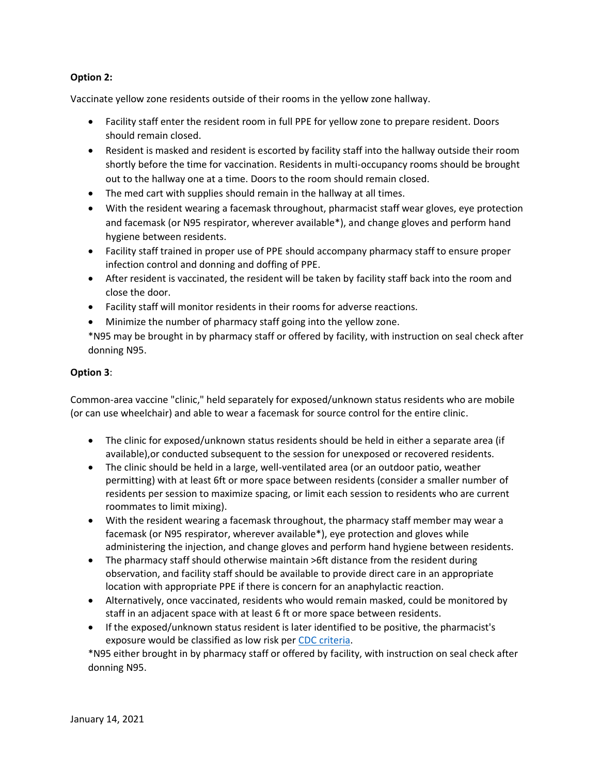## **Option 2:**

Vaccinate yellow zone residents outside of their rooms in the yellow zone hallway.

- Facility staff enter the resident room in full PPE for yellow zone to prepare resident. Doors should remain closed.
- Resident is masked and resident is escorted by facility staff into the hallway outside their room shortly before the time for vaccination. Residents in multi-occupancy rooms should be brought out to the hallway one at a time. Doors to the room should remain closed.
- The med cart with supplies should remain in the hallway at all times.
- With the resident wearing a facemask throughout, pharmacist staff wear gloves, eye protection and facemask (or N95 respirator, wherever available\*), and change gloves and perform hand hygiene between residents.
- Facility staff trained in proper use of PPE should accompany pharmacy staff to ensure proper infection control and donning and doffing of PPE.
- After resident is vaccinated, the resident will be taken by facility staff back into the room and close the door.
- Facility staff will monitor residents in their rooms for adverse reactions.
- Minimize the number of pharmacy staff going into the yellow zone.

\*N95 may be brought in by pharmacy staff or offered by facility, with instruction on seal check after donning N95.

## **Option 3**:

Common-area vaccine "clinic," held separately for exposed/unknown status residents who are mobile (or can use wheelchair) and able to wear a facemask for source control for the entire clinic.

- The clinic for exposed/unknown status residents should be held in either a separate area (if available),or conducted subsequent to the session for unexposed or recovered residents.
- The clinic should be held in a large, well-ventilated area (or an outdoor patio, weather permitting) with at least 6ft or more space between residents (consider a smaller number of residents per session to maximize spacing, or limit each session to residents who are current roommates to limit mixing).
- With the resident wearing a facemask throughout, the pharmacy staff member may wear a facemask (or N95 respirator, wherever available\*), eye protection and gloves while administering the injection, and change gloves and perform hand hygiene between residents.
- The pharmacy staff should otherwise maintain >6ft distance from the resident during observation, and facility staff should be available to provide direct care in an appropriate location with appropriate PPE if there is concern for an anaphylactic reaction.
- Alternatively, once vaccinated, residents who would remain masked, could be monitored by staff in an adjacent space with at least 6 ft or more space between residents.
- If the exposed/unknown status resident is later identified to be positive, the pharmacist's exposure would be classified as low risk per [CDC criteria.](https://www.cdc.gov/coronavirus/2019-ncov/hcp/guidance-risk-assesment-hcp.html)

\*N95 either brought in by pharmacy staff or offered by facility, with instruction on seal check after donning N95.